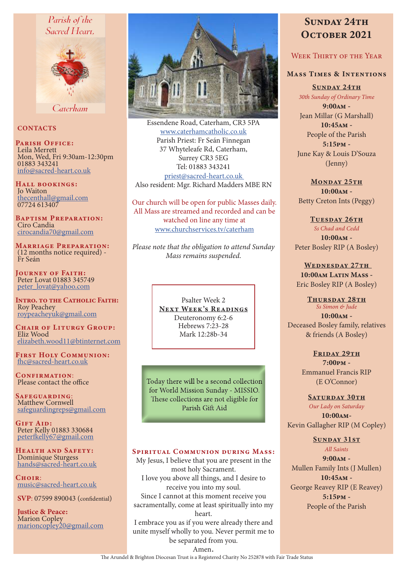# Parish of the Sacred Heart.



Caterham

# **CONTACTS**

PARISH OFFICE: Leila Merrett Mon, Wed, Fri 9:30am-12:30pm 01883 343241 info@sacred-heart.co.uk

Hall bookings: Jo Waiton thecenthall@gmail.com 07724 613407

Baptism Preparation: Ciro Candia cirocandia70@gmail.com

Marriage Preparation: (12 months notice required) - Fr Seán

Journey of Faith: Peter Lovat 01883 345749 peter\_lovat@yahoo.com

INTRO. TO THE CATHOLIC FAITH: Roy Peachey roypeacheyuk@gmail.com

CHAIR OF LITURGY GROUP: Eliz Wood elizabeth.wood11@btinternet.com

First Holy Communion: fhc@sacred-heart.co.uk

CONFIRMATION: Please contact the office

Safeguarding: Matthew Cornwell safeguardingreps@gmail.com

GIFT AID: Peter Kelly 01883 330684 peterfkelly67@gmail.com

Health and Safety: Dominique Sturgess hands@sacred-heart.co.uk

Choir<sup>.</sup> music@sacred-heart.co.uk

SVP: 07599 890043 (confidential)

Justice & Peace: Marion Copley marioncopley20@gmail.com



Essendene Road, Caterham, CR3 5PA www.caterhamcatholic.co.uk Parish Priest: Fr Seán Finnegan 37 Whyteleafe Rd, Caterham, Surrey CR3 5EG Tel: 01883 343241 priest@sacred-heart.co.uk Also resident: Mgr. Richard Madders MBE RN

Our church will be open for public Masses daily. All Mass are streamed and recorded and can be watched on line any time at www.churchservices.tv/caterham

*Please note that the obligation to attend Sunday Mass remains suspended.*

> Psalter Week 2 NEXT WEEK'S READINGS Deuteronomy 6:2-6 Hebrews 7:23-28 Mark 12:28b-34

Today there will be a second collection for World Mission Sunday - MISSIO. These collections are not eligible for Parish Gift Aid

#### SPIRITUAL COMMUNION DURING MASS:

My Jesus, I believe that you are present in the most holy Sacrament. I love you above all things, and I desire to receive you into my soul. Since I cannot at this moment receive you sacramentally, come at least spiritually into my heart.

I embrace you as if you were already there and unite myself wholly to you. Never permit me to be separated from you.

# SUNDAY 24TH OCTOBER 2021

# WEEK THIRTY OF THE YEAR

# Mass Times & Intentions

SUNDAY 24TH *30th Sunday of Ordinary Time*

9:00am - Jean Millar (G Marshall)  $10:45$ <sub>AM</sub> -People of the Parish 5:15pm - June Kay & Louis D'Souza (Jenny)

MONDAY 25TH 10:00am - Betty Creton Ints (Peggy)

TUESDAY 26TH *Ss Chad and Cedd* 10:00am - Peter Bosley RIP (A Bosley)

WEDNESDAY 27TH  $10:00$ am Latin Mass -Eric Bosley RIP (A Bosley)

THURSDAY 28TH *Ss Simon & Jude* 10:00am - Deceased Bosley family, relatives & friends (A Bosley)

> FRIDAY 29TH 7:00pm - Emmanuel Francis RIP (E O'Connor)

SATURDAY 30TH *Our Lady on Saturday* 10:00am-Kevin Gallagher RIP (M Copley)

# Sunday 31st

*All Saints* 9:00am - Mullen Family Ints (J Mullen) 10:45am - George Reavey RIP (E Reavey) 5:15pm - People of the Parish

Amen. The Arundel & Brighton Diocesan Trust is a Registered Charity No 252878 with Fair Trade Status